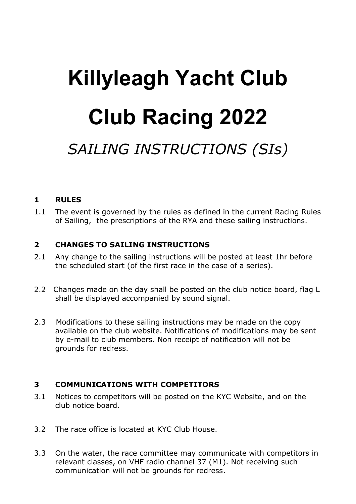# **Killyleagh Yacht Club Club Racing 2022** *SAILING INSTRUCTIONS (SIs)*

# **1 RULES**

1.1 The event is governed by the rules as defined in the current Racing Rules of Sailing, the prescriptions of the RYA and these sailing instructions.

# **2 CHANGES TO SAILING INSTRUCTIONS**

- 2.1 Any change to the sailing instructions will be posted at least 1hr before the scheduled start (of the first race in the case of a series).
- 2.2 Changes made on the day shall be posted on the club notice board, flag L shall be displayed accompanied by sound signal.
- 2.3 Modifications to these sailing instructions may be made on the copy available on the club website. Notifications of modifications may be sent by e-mail to club members. Non receipt of notification will not be grounds for redress.

#### **3 COMMUNICATIONS WITH COMPETITORS**

- 3.1 Notices to competitors will be posted on the KYC Website, and on the club notice board.
- 3.2 The race office is located at KYC Club House.
- 3.3 On the water, the race committee may communicate with competitors in relevant classes, on VHF radio channel 37 (M1). Not receiving such communication will not be grounds for redress.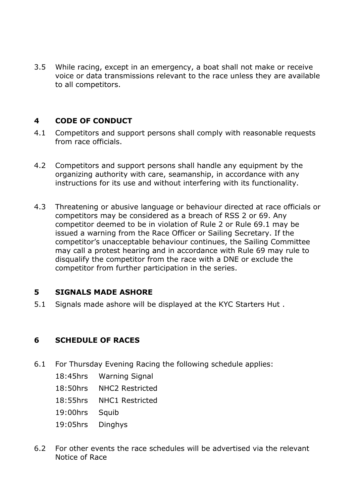3.5 While racing, except in an emergency, a boat shall not make or receive voice or data transmissions relevant to the race unless they are available to all competitors.

### **4 CODE OF CONDUCT**

- 4.1 Competitors and support persons shall comply with reasonable requests from race officials.
- 4.2 Competitors and support persons shall handle any equipment by the organizing authority with care, seamanship, in accordance with any instructions for its use and without interfering with its functionality.
- 4.3 Threatening or abusive language or behaviour directed at race officials or competitors may be considered as a breach of RSS 2 or 69. Any competitor deemed to be in violation of Rule 2 or Rule 69.1 may be issued a warning from the Race Officer or Sailing Secretary. If the competitor's unacceptable behaviour continues, the Sailing Committee may call a protest hearing and in accordance with Rule 69 may rule to disqualify the competitor from the race with a DNE or exclude the competitor from further participation in the series.

#### **5 SIGNALS MADE ASHORE**

5.1 Signals made ashore will be displayed at the KYC Starters Hut .

# **6 SCHEDULE OF RACES**

- 6.1 For Thursday Evening Racing the following schedule applies:
	- 18:45hrs Warning Signal
	- 18:50hrs NHC2 Restricted
	- 18:55hrs NHC1 Restricted
	- 19:00hrs Squib
	- 19:05hrs Dinghys
- 6.2 For other events the race schedules will be advertised via the relevant Notice of Race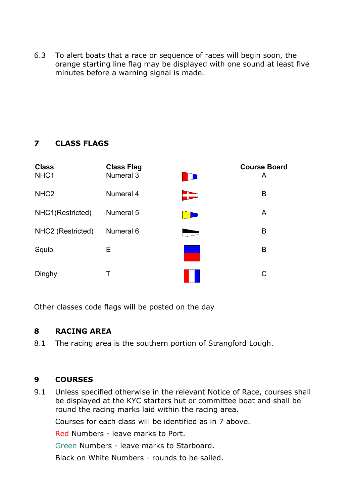6.3 To alert boats that a race or sequence of races will begin soon, the orange starting line flag may be displayed with one sound at least five minutes before a warning signal is made.

# **7 CLASS FLAGS**

| <b>Class</b><br>NHC1 | <b>Class Flag</b><br>Numeral 3 | <b>Course Board</b><br>A |
|----------------------|--------------------------------|--------------------------|
| NHC <sub>2</sub>     | Numeral 4                      | B                        |
| NHC1(Restricted)     | Numeral 5                      | A                        |
| NHC2 (Restricted)    | Numeral 6                      | B                        |
| Squib                | Е                              | B                        |
| Dinghy               | Т                              |                          |

Other classes code flags will be posted on the day

# **8 RACING AREA**

8.1 The racing area is the southern portion of Strangford Lough.

# **9 COURSES**

9.1 Unless specified otherwise in the relevant Notice of Race, courses shall be displayed at the KYC starters hut or committee boat and shall be round the racing marks laid within the racing area.

Courses for each class will be identified as in 7 above.

Red Numbers - leave marks to Port.

Green Numbers - leave marks to Starboard.

Black on White Numbers - rounds to be sailed.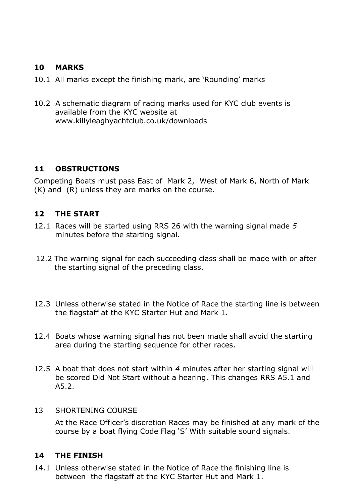### **10 MARKS**

- 10.1 All marks except the finishing mark, are 'Rounding' marks
- 10.2 A schematic diagram of racing marks used for KYC club events is available from the KYC website at www.killyleaghyachtclub.co.uk/downloads

#### **11 OBSTRUCTIONS**

Competing Boats must pass East of Mark 2, West of Mark 6, North of Mark (K) and (R) unless they are marks on the course.

#### **12 THE START**

- 12.1 Races will be started using RRS 26 with the warning signal made *5* minutes before the starting signal.
- 12.2 The warning signal for each succeeding class shall be made with or after the starting signal of the preceding class.
- 12.3 Unless otherwise stated in the Notice of Race the starting line is between the flagstaff at the KYC Starter Hut and Mark 1.
- 12.4 Boats whose warning signal has not been made shall avoid the starting area during the starting sequence for other races.
- 12.5 A boat that does not start within *4* minutes after her starting signal will be scored Did Not Start without a hearing. This changes RRS A5.1 and A5.2.

#### 13 SHORTENING COURSE

At the Race Officer's discretion Races may be finished at any mark of the course by a boat flying Code Flag 'S' With suitable sound signals.

#### **14 THE FINISH**

14.1 Unless otherwise stated in the Notice of Race the finishing line is between the flagstaff at the KYC Starter Hut and Mark 1.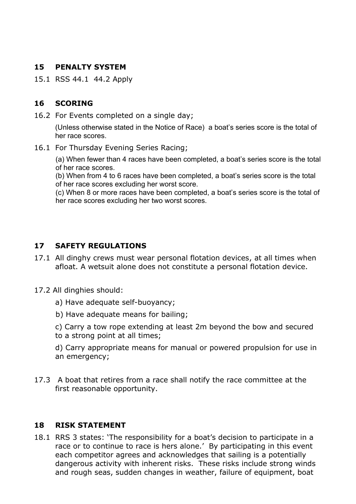#### **15 PENALTY SYSTEM**

15.1 RSS 44.1 44.2 Apply

# **16 SCORING**

16.2 For Events completed on a single day;

(Unless otherwise stated in the Notice of Race) a boat's series score is the total of her race scores.

16.1 For Thursday Evening Series Racing;

(a) When fewer than 4 races have been completed, a boat's series score is the total of her race scores.

(b) When from 4 to 6 races have been completed, a boat's series score is the total of her race scores excluding her worst score.

(c) When 8 or more races have been completed, a boat's series score is the total of her race scores excluding her two worst scores.

#### **17 SAFETY REGULATIONS**

- 17.1 All dinghy crews must wear personal flotation devices, at all times when afloat. A wetsuit alone does not constitute a personal flotation device.
- 17.2 All dinghies should:
	- a) Have adequate self-buoyancy;
	- b) Have adequate means for bailing;
	- c) Carry a tow rope extending at least 2m beyond the bow and secured to a strong point at all times;

d) Carry appropriate means for manual or powered propulsion for use in an emergency;

17.3 A boat that retires from a race shall notify the race committee at the first reasonable opportunity.

#### **18 RISK STATEMENT**

18.1 RRS 3 states: 'The responsibility for a boat's decision to participate in a race or to continue to race is hers alone.' By participating in this event each competitor agrees and acknowledges that sailing is a potentially dangerous activity with inherent risks. These risks include strong winds and rough seas, sudden changes in weather, failure of equipment, boat